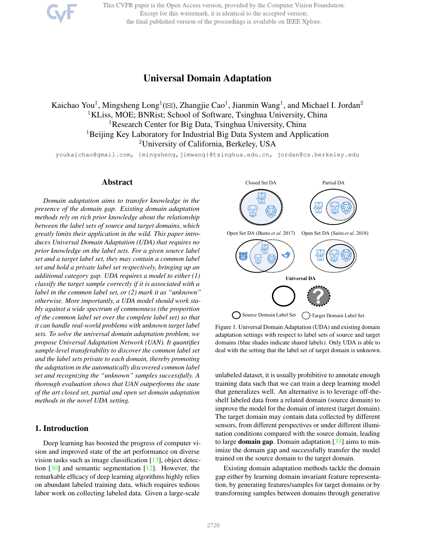This CVPR paper is the Open Access version, provided by the Computer Vision Foundation. Except for this watermark, it is identical to the accepted version; the final published version of the proceedings is available on IEEE Xplore.

# Universal Domain Adaptation

Kaichao You<sup>1</sup>, Mingsheng Long<sup>1</sup>( $\boxtimes$ ), Zhangjie Cao<sup>1</sup>, Jianmin Wang<sup>1</sup>, and Michael I. Jordan<sup>2</sup> <sup>1</sup>KLiss, MOE; BNRist; School of Software, Tsinghua University, China <sup>1</sup>Research Center for Big Data, Tsinghua University, China <sup>1</sup>Beijing Key Laboratory for Industrial Big Data System and Application <sup>2</sup>University of California, Berkeley, USA

youkaichao@gmail.com, {mingsheng,iimwang}@tsinghua.edu.cn, jordan@cs.berkeley.edu

# Abstract

*Domain adaptation aims to transfer knowledge in the presence of the domain gap. Existing domain adaptation methods rely on rich prior knowledge about the relationship between the label sets of source and target domains, which greatly limits their application in the wild. This paper introduces Universal Domain Adaptation (UDA) that requires no prior knowledge on the label sets. For a given source label set and a target label set, they may contain a common label set and hold a private label set respectively, bringing up an additional category gap. UDA requires a model to either (1) classify the target sample correctly if it is associated with a label in the common label set, or (2) mark it as "unknown" otherwise. More importantly, a UDA model should work stably against a wide spectrum of commonness (the proportion of the common label set over the complete label set) so that it can handle real-world problems with unknown target label sets. To solve the universal domain adaptation problem, we propose Universal Adaptation Network (UAN). It quantifies sample-level transferability to discover the common label set and the label sets private to each domain, thereby promoting the adaptation in the automatically discovered common label set and recognizing the "unknown" samples successfully. A thorough evaluation shows that UAN outperforms the state of the art closed set, partial and open set domain adaptation methods in the novel UDA setting.*

## 1. Introduction

Deep learning has boosted the progress of computer vision and improved state of the art performance on diverse vision tasks such as image classification [13], object detection [30] and semantic segmentation [12]. However, the remarkable efficacy of deep learning algorithms highly relies on abundant labeled training data, which requires tedious labor work on collecting labeled data. Given a large-scale



Figure 1. Universal Domain Adaptation (UDA) and existing domain adaptation settings with respect to label sets of source and target domains (blue shades indicate shared labels). Only UDA is able to deal with the setting that the label set of target domain is unknown.

unlabeled dataset, it is usually prohibitive to annotate enough training data such that we can train a deep learning model that generalizes well. An alternative is to leverage off-theshelf labeled data from a related domain (source domain) to improve the model for the domain of interest (target domain). The target domain may contain data collected by different sensors, from different perspectives or under different illumination conditions compared with the source domain, leading to large **domain gap**. Domain adaptation  $\lceil 33 \rceil$  aims to minimize the domain gap and successfully transfer the model trained on the source domain to the target domain.

Existing domain adaptation methods tackle the domain gap either by learning domain invariant feature representation, by generating features/samples for target domains or by transforming samples between domains through generative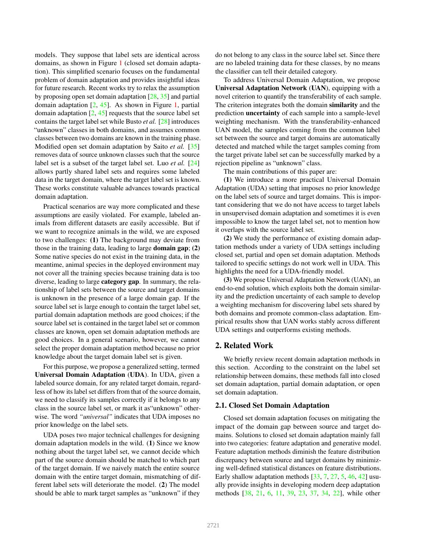models. They suppose that label sets are identical across domains, as shown in Figure 1 (closed set domain adaptation). This simplified scenario focuses on the fundamental problem of domain adaptation and provides insightful ideas for future research. Recent works try to relax the assumption by proposing open set domain adaptation [28, 35] and partial domain adaptation  $[2, 45]$ . As shown in Figure 1, partial domain adaptation  $[2, 45]$  requests that the source label set contains the target label set while Busto *et al.* [28] introduces "unknown" classes in both domains, and assumes common classes between two domains are known in the training phase. Modified open set domain adaptation by Saito *et al.* [35] removes data of source unknown classes such that the source label set is a subset of the target label set. Luo *et al.* [24] allows partly shared label sets and requires some labeled data in the target domain, where the target label set is known. These works constitute valuable advances towards practical domain adaptation.

Practical scenarios are way more complicated and these assumptions are easily violated. For example, labeled animals from different datasets are easily accessible. But if we want to recognize animals in the wild, we are exposed to two challenges: (1) The background may deviate from those in the training data, leading to large domain gap; (2) Some native species do not exist in the training data, in the meantime, animal species in the deployed environment may not cover all the training species because training data is too diverse, leading to large category gap. In summary, the relationship of label sets between the source and target domains is unknown in the presence of a large domain gap. If the source label set is large enough to contain the target label set, partial domain adaptation methods are good choices; if the source label set is contained in the target label set or common classes are known, open set domain adaptation methods are good choices. In a general scenario, however, we cannot select the proper domain adaptation method because no prior knowledge about the target domain label set is given.

For this purpose, we propose a generalized setting, termed Universal Domain Adaptation (UDA). In UDA, given a labeled source domain, for any related target domain, regardless of how its label set differs from that of the source domain, we need to classify its samples correctly if it belongs to any class in the source label set, or mark it as"unknown" otherwise. The word *"universal"* indicates that UDA imposes no prior knowledge on the label sets.

UDA poses two major technical challenges for designing domain adaptation models in the wild. (1) Since we know nothing about the target label set, we cannot decide which part of the source domain should be matched to which part of the target domain. If we naively match the entire source domain with the entire target domain, mismatching of different label sets will deteriorate the model. (2) The model should be able to mark target samples as "unknown" if they

do not belong to any class in the source label set. Since there are no labeled training data for these classes, by no means the classifier can tell their detailed category.

To address Universal Domain Adaptation, we propose Universal Adaptation Network (UAN), equipping with a novel criterion to quantify the transferability of each sample. The criterion integrates both the domain similarity and the prediction uncertainty of each sample into a sample-level weighting mechanism. With the transferability-enhanced UAN model, the samples coming from the common label set between the source and target domains are automatically detected and matched while the target samples coming from the target private label set can be successfully marked by a rejection pipeline as "unknown" class.

The main contributions of this paper are:

(1) We introduce a more practical Universal Domain Adaptation (UDA) setting that imposes no prior knowledge on the label sets of source and target domains. This is important considering that we do not have access to target labels in unsupervised domain adaptation and sometimes it is even impossible to know the target label set, not to mention how it overlaps with the source label set.

(2) We study the performance of existing domain adaptation methods under a variety of UDA settings including closed set, partial and open set domain adaptation. Methods tailored to specific settings do not work well in UDA. This highlights the need for a UDA-friendly model.

(3) We propose Universal Adaptation Network (UAN), an end-to-end solution, which exploits both the domain similarity and the prediction uncertainty of each sample to develop a weighting mechanism for discovering label sets shared by both domains and promote common-class adaptation. Empirical results show that UAN works stably across different UDA settings and outperforms existing methods.

# 2. Related Work

We briefly review recent domain adaptation methods in this section. According to the constraint on the label set relationship between domains, these methods fall into closed set domain adaptation, partial domain adaptation, or open set domain adaptation.

### 2.1. Closed Set Domain Adaptation

Closed set domain adaptation focuses on mitigating the impact of the domain gap between source and target domains. Solutions to closed set domain adaptation mainly fall into two categories: feature adaptation and generative model. Feature adaptation methods diminish the feature distribution discrepancy between source and target domains by minimizing well-defined statistical distances on feature distributions. Early shallow adaptation methods  $[33, 7, 27, 5, 46, 42]$  usually provide insights in developing modern deep adaptation methods [38, 21, 6, 11, 39, 23, 37, 34, 22], while other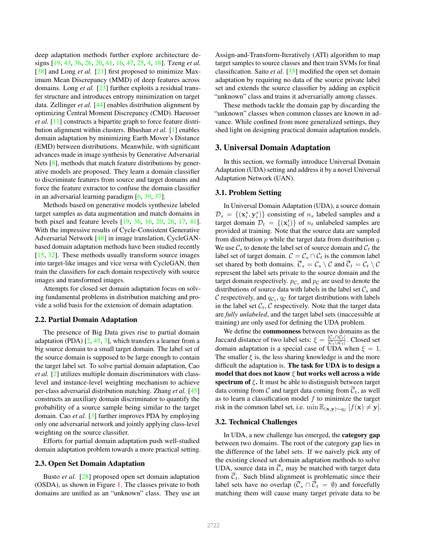deep adaptation methods further explore architecture designs [19, 43, 36, 26, 20, 41, 16, 47, 25, 4, 18]. Tzeng *et al.* [38] and Long *et al.* [21] first proposed to minimize Maximum Mean Discrepancy (MMD) of deep features across domains. Long *et al.* [23] further exploits a residual transfer structure and introduces entropy minimization on target data. Zellinger *et al.* [44] enables distribution alignment by optimizing Central Moment Discrepancy (CMD). Haeusser *et al.* [11] constructs a bipartite graph to force feature distribution alignment within clusters. Bhushan *et al.* [1] enables domain adaptation by minimizing Earth Mover's Distance (EMD) between distributions. Meanwhile, with significant advances made in image synthesis by Generative Adversarial Nets [8], methods that match feature distributions by generative models are proposed. They learn a domain classifier to discriminate features from source and target domains and force the feature extractor to confuse the domain classifier in an adversarial learning paradigm [6, 39, 37].

Methods based on generative models synthesize labeled target samples as data augmentation and match domains in both pixel and feature levels [19, 36, 16, 20, 26, 17, 41]. With the impressive results of Cycle-Consistent Generative Adversarial Network [48] in image translation, CycleGANbased domain adaptation methods have been studied recently [15, 32]. These methods usually transform source images into target-like images and vice versa with CycleGAN, then train the classifiers for each domain respectively with source images and transformed images.

Attempts for closed set domain adaptation focus on solving fundamental problems in distribution matching and provide a solid basis for the extension of domain adaptation.

### 2.2. Partial Domain Adaptation

The presence of Big Data gives rise to partial domain adaptation (PDA)  $[2, 45, 3]$ , which transfers a learner from a big source domain to a small target domain. The label set of the source domain is supposed to be large enough to contain the target label set. To solve partial domain adaptation, Cao *et al.* [2] utilizes multiple domain discriminators with classlevel and instance-level weighting mechanism to achieve per-class adversarial distribution matching. Zhang *et al.* [45] constructs an auxiliary domain discriminator to quantify the probability of a source sample being similar to the target domain. Cao *et al.* [3] further improves PDA by employing only one adversarial network and jointly applying class-level weighting on the source classifier.

Efforts for partial domain adaptation push well-studied domain adaptation problem towards a more practical setting.

## 2.3. Open Set Domain Adaptation

Busto *et al.* [28] proposed open set domain adaptation (OSDA), as shown in Figure 1. The classes private to both domains are unified as an "unknown" class. They use an Assign-and-Transform-Iteratively (ATI) algorithm to map target samples to source classes and then train SVMs for final classification. Saito *et al.* [35] modified the open set domain adaptation by requiring no data of the source private label set and extends the source classifier by adding an explicit "unknown" class and trains it adversarially among classes.

These methods tackle the domain gap by discarding the "unknown" classes when common classes are known in advance. While confined from more generalized settings, they shed light on designing practical domain adaptation models.

#### 3. Universal Domain Adaptation

In this section, we formally introduce Universal Domain Adaptation (UDA) setting and address it by a novel Universal Adaptation Network (UAN).

#### 3.1. Problem Setting

In Universal Domain Adaptation (UDA), a source domain  $\mathcal{D}_s = \{(\mathbf{x}_i^s, \mathbf{y}_i^s)\}\)$  consisting of  $n_s$  labeled samples and a target domain  $\mathcal{D}_t = \{(\mathbf{x}_i^t)\}\$  of  $n_t$  unlabeled samples are provided at training. Note that the source data are sampled from distribution  $p$  while the target data from distribution  $q$ . We use  $\mathcal{C}_s$  to denote the label set of source domain and  $\mathcal{C}_t$  the label set of target domain.  $C = C_s \cap C_t$  is the common label set shared by both domains.  $\overline{C}_s = C_s \setminus C$  and  $\overline{C}_t = C_t \setminus C$ represent the label sets private to the source domain and the target domain respectively.  $p_{\mathcal{C}_s}$  and  $p_{\mathcal{C}}$  are used to denote the distributions of source data with labels in the label set  $\mathcal{C}_s$  and C respectively, and  $q_{\mathcal{C}_t}$ ,  $q_{\mathcal{C}}$  for target distributions with labels in the label set  $C_t$ , C respectively. Note that the target data are *fully unlabeled*, and the target label sets (inaccessible at training) are only used for defining the UDA problem.

We define the commonness between two domains as the Jaccard distance of two label sets:  $\xi = \frac{|\mathcal{C}_s \cap \mathcal{C}_t|}{|\mathcal{C}_s \cap \mathcal{C}_t|}$  $\frac{|C_s| |C_t|}{|C_s \cup C_t|}$ . Closed set domain adaptation is a special case of UDA when  $\xi = 1$ . The smaller  $\xi$  is, the less sharing knowledge is and the more difficult the adaptation is. The task for UDA is to design a model that does not know  $\xi$  but works well across a wide spectrum of  $\xi$ . It must be able to distinguish between target data coming from C and target data coming from  $\overline{C}_t$ , as well as to learn a classification model  $f$  to minimize the target risk in the common label set, i.e.  $\min \mathbb{E}_{(\mathbf{x}, \mathbf{y}) \sim q_c} [f(\mathbf{x}) \neq \mathbf{y}].$ 

#### 3.2. Technical Challenges

In UDA, a new challenge has emerged, the category gap between two domains. The root of the category gap lies in the difference of the label sets. If we naively pick any of the existing closed set domain adaptation methods to solve UDA, source data in  $\overline{\mathcal{C}}_s$  may be matched with target data from  $\overline{C}_t$ . Such blind alignment is problematic since their label sets have no overlap  $(\overline{C}_s \cap \overline{C}_t = \emptyset)$  and forcefully matching them will cause many target private data to be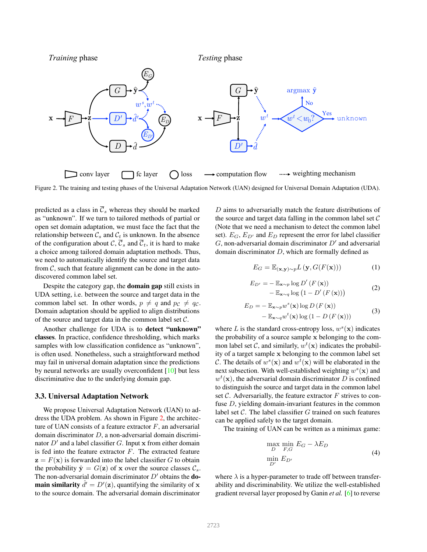

Figure 2. The training and testing phases of the Universal Adaptation Network (UAN) designed for Universal Domain Adaptation (UDA).

predicted as a class in  $\overline{\mathcal{C}}_s$  whereas they should be marked as "unknown". If we turn to tailored methods of partial or open set domain adaptation, we must face the fact that the relationship between  $C_s$  and  $C_t$  is unknown. In the absence of the configuration about  $\mathcal{C}, \overline{\mathcal{C}}_s$  and  $\overline{\mathcal{C}}_t$ , it is hard to make a choice among tailored domain adaptation methods. Thus, we need to automatically identify the source and target data from  $C$ , such that feature alignment can be done in the autodiscovered common label set.

Despite the category gap, the domain gap still exists in UDA setting, i.e. between the source and target data in the common label set. In other words,  $p \neq q$  and  $p_c \neq q_c$ . Domain adaptation should be applied to align distributions of the source and target data in the common label set  $\mathcal{C}$ .

Another challenge for UDA is to detect "unknown" classes. In practice, confidence thresholding, which marks samples with low classification confidence as "unknown". is often used. Nonetheless, such a straightforward method may fail in universal domain adaptation since the predictions by neural networks are usually overconfident [10] but less discriminative due to the underlying domain gap.

### 3.3. Universal Adaptation Network

We propose Universal Adaptation Network (UAN) to address the UDA problem. As shown in Figure 2, the architecture of UAN consists of a feature extractor  $F$ , an adversarial domain discriminator D, a non-adversarial domain discriminator  $D'$  and a label classifier G. Input x from either domain is fed into the feature extractor  $F$ . The extracted feature  $z = F(x)$  is forwarded into the label classifier G to obtain the probability  $\hat{\mathbf{y}} = G(\mathbf{z})$  of x over the source classes  $\mathcal{C}_s$ . The non-adversarial domain discriminator  $D'$  obtains the **domain similarity**  $\hat{d}' = D'(\mathbf{z})$ , quantifying the similarity of x to the source domain. The adversarial domain discriminator

D aims to adversarially match the feature distributions of the source and target data falling in the common label set  $C$ (Note that we need a mechanism to detect the common label set).  $E_G$ ,  $E_{D'}$  and  $E_D$  represent the error for label classifier  $G$ , non-adversarial domain discriminator  $D'$  and adversarial domain discriminator D, which are formally defined as

$$
E_G = \mathbb{E}_{(\mathbf{x}, \mathbf{y}) \sim p} L(\mathbf{y}, G(F(\mathbf{x})))
$$
 (1)

$$
E_{D'} = -\mathbb{E}_{\mathbf{x} \sim p} \log D'(F(\mathbf{x})) - \mathbb{E}_{\mathbf{x} \sim q} \log (1 - D'(F(\mathbf{x})))
$$
\n(2)

$$
E_D = -\mathbb{E}_{\mathbf{x} \sim p} w^s(\mathbf{x}) \log D \left( F(\mathbf{x}) \right) - \mathbb{E}_{\mathbf{x} \sim q} w^t(\mathbf{x}) \log \left( 1 - D \left( F(\mathbf{x}) \right) \right)
$$
(3)

where L is the standard cross-entropy loss,  $w^s(\mathbf{x})$  indicates the probability of a source sample x belonging to the common label set C, and similarly,  $w^t(\mathbf{x})$  indicates the probability of a target sample x belonging to the common label set C. The details of  $w^s(\mathbf{x})$  and  $w^t(\mathbf{x})$  will be elaborated in the next subsection. With well-established weighting  $w^s(\mathbf{x})$  and  $w<sup>t</sup>(\mathbf{x})$ , the adversarial domain discriminator D is confined to distinguish the source and target data in the common label set  $\mathcal C$ . Adversarially, the feature extractor  $F$  strives to confuse D, yielding domain-invariant features in the common label set  $C$ . The label classifier  $G$  trained on such features can be applied safely to the target domain.

The training of UAN can be written as a minimax game:

$$
\max_{D} \min_{F,G} E_G - \lambda E_D
$$
  
\n
$$
\min_{D'} E_{D'}
$$
\n(4)

where  $\lambda$  is a hyper-parameter to trade off between transferability and discriminability. We utilize the well-established gradient reversal layer proposed by Ganin *et al.* [6] to reverse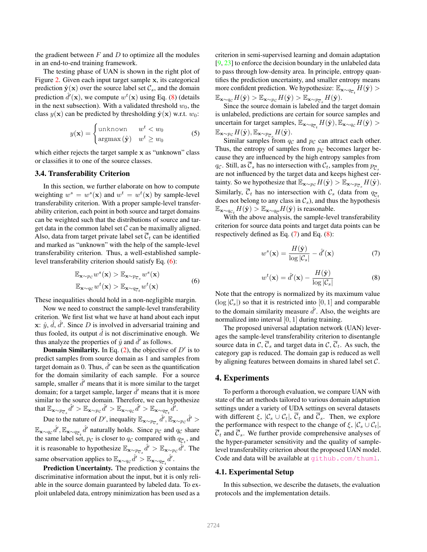the gradient between  $F$  and  $D$  to optimize all the modules in an end-to-end training framework.

The testing phase of UAN is shown in the right plot of Figure 2. Given each input target sample x, its categorical prediction  $\hat{\mathbf{y}}(\mathbf{x})$  over the source label set  $\mathcal{C}_s$ , and the domain prediction  $\hat{d}'(\mathbf{x})$ , we compute  $w^t(\mathbf{x})$  using Eq. (8) (details in the next subsection). With a validated threshold  $w_0$ , the class  $y(\mathbf{x})$  can be predicted by thresholding  $\hat{\mathbf{y}}(\mathbf{x})$  w.r.t.  $w_0$ :

$$
y(\mathbf{x}) = \begin{cases} \text{unknown} & w^t < w_0 \\ \text{argmax}(\hat{\mathbf{y}}) & w^t \ge w_0 \end{cases} \tag{5}
$$

which either rejects the target sample x as "unknown" class or classifies it to one of the source classes.

### 3.4. Transferability Criterion

In this section, we further elaborate on how to compute weighting  $w^s = w^s(\mathbf{x})$  and  $w^t = w^t(\mathbf{x})$  by sample-level transferability criterion. With a proper sample-level transferability criterion, each point in both source and target domains can be weighted such that the distributions of source and target data in the common label set  $\mathcal C$  can be maximally aligned. Also, data from target private label set  $\overline{C}_t$  can be identified and marked as "unknown" with the help of the sample-level transferability criterion. Thus, a well-established samplelevel transferability criterion should satisfy Eq. (6):

$$
\mathbb{E}_{\mathbf{x} \sim p_{\mathcal{C}}} w^s(\mathbf{x}) > \mathbb{E}_{\mathbf{x} \sim p_{\overline{C}_s}} w^s(\mathbf{x}) \n\mathbb{E}_{\mathbf{x} \sim q_{\mathcal{C}}} w^t(\mathbf{x}) > \mathbb{E}_{\mathbf{x} \sim q_{\overline{C}_t}} w^t(\mathbf{x})
$$
\n(6)

These inequalities should hold in a non-negligible margin.

Now we need to construct the sample-level transferability criterion. We first list what we have at hand about each input x:  $\hat{y}$ ,  $\hat{d}$ ,  $\hat{d}'$ . Since D is involved in adversarial training and thus fooled, its output  $\hat{d}$  is not discriminative enough. We thus analyze the properties of  $\hat{y}$  and  $\hat{d}'$  as follows.

**Domain Similarity.** In Eq.  $(2)$ , the objective of  $D'$  is to predict samples from source domain as 1 and samples from target domain as 0. Thus,  $\hat{d}'$  can be seen as the quantification for the domain similarity of each sample. For a source sample, smaller  $\hat{d}'$  means that it is more similar to the target domain; for a target sample, larger  $\hat{d}'$  means that it is more similar to the source domain. Therefore, we can hypothesize that  $\mathbb{E}_{\mathbf{x} \sim p_{\overline{C},s}}\hat{d}' > \mathbb{E}_{\mathbf{x} \sim p_{\mathcal{C}}}\hat{d}' > \mathbb{E}_{\mathbf{x} \sim q_{\mathcal{C}}}\hat{d}' > \mathbb{E}_{\mathbf{x} \sim q_{\overline{C},t}}\hat{d}'.$ 

Due to the nature of D', inequality  $\mathbb{E}_{\mathbf{x} \sim p_{\overline{C}_s}} \hat{d}'$ ,  $\mathbb{E}_{\mathbf{x} \sim p_{\mathcal{C}}} \hat{d}' >$  $\mathbb{E}_{\mathbf{x} \sim q_{\mathcal{C}}} \hat{d}'$ ,  $\mathbb{E}_{\mathbf{x} \sim q_{\overline{\mathcal{C}}_t}} \hat{d}'$  naturally holds. Since  $p_{\mathcal{C}}$  and  $q_{\mathcal{C}}$  share the same label set,  $p_{\mathcal{C}}$  is closer to  $q_{\mathcal{C}}$  compared with  $q_{\overline{\mathcal{C}}_t}$ , and it is reasonable to hypothesize  $\mathbb{E}_{\mathbf{x} \sim p_{\overline{C},s}} \hat{d}' > \mathbb{E}_{\mathbf{x} \sim p_{\mathcal{C}}} \hat{d}'$ . The same observation applies to  $\mathbb{E}_{\mathbf{x} \sim q_{\mathcal{C}}} \hat{d}' > \mathbb{E}_{\mathbf{x} \sim q_{\overline{\mathcal{C}}_t}} \hat{d}'.$ 

**Prediction Uncertainty.** The prediction  $\hat{y}$  contains the discriminative information about the input, but it is only reliable in the source domain guaranteed by labeled data. To exploit unlabeled data, entropy minimization has been used as a criterion in semi-supervised learning and domain adaptation  $[9, 23]$  to enforce the decision boundary in the unlabeled data to pass through low-density area. In principle, entropy quantifies the prediction uncertainty, and smaller entropy means more confident prediction. We hypothesize:  $\mathbb{E}_{\mathbf{x} \sim q_{\mathcal{C}_t}} H(\hat{\mathbf{y}})$  $\mathbb{E}_{\mathbf{x} \sim q_{\mathcal{C}}} H(\hat{\mathbf{y}}) > \mathbb{E}_{\mathbf{x} \sim p_{\mathcal{C}}} H(\hat{\mathbf{y}}) > \mathbb{E}_{\mathbf{x} \sim p_{\overline{\mathcal{C}}_s}} H(\hat{\mathbf{y}}).$ 

Since the source domain is labeled and the target domain is unlabeled, predictions are certain for source samples and uncertain for target samples,  $\mathbb{E}_{\mathbf{x} \sim q_{\overline{C}_t}} H(\hat{\mathbf{y}}), \mathbb{E}_{\mathbf{x} \sim q_{\mathcal{C}}} \overline{H}(\hat{\mathbf{y}}) >$  $\mathbb{E}_{\mathbf{x} \sim p_{\mathcal{C}}} H(\hat{\mathbf{y}}), \mathbb{E}_{\mathbf{x} \sim p_{\overline{\mathcal{C}}_s}} H(\hat{\mathbf{y}}).$ 

Similar samples from  $q_c$  and  $p_c$  can attract each other. Thus, the entropy of samples from  $p_c$  becomes larger because they are influenced by the high entropy samples from  $q_c$ . Still, as  $\overline{\mathcal{C}}_s$  has no intersection with  $\mathcal{C}_t$ , samples from  $p_{\overline{\mathcal{C}}_s}$ are not influenced by the target data and keeps highest certainty. So we hypothesize that  $\mathbb{E}_{\mathbf{x} \sim p_{\mathcal{C}}} H(\hat{\mathbf{y}}) > \mathbb{E}_{\mathbf{x} \sim p_{\overline{\mathcal{C}}_s}} H(\hat{\mathbf{y}})$ . Similarly,  $\overline{C}_t$  has no intersection with  $C_s$  (data from  $q_{\overline{C}_s}$ ) does not belong to any class in  $\mathcal{C}_s$ ), and thus the hypothesis  $\mathbb{E}_{\mathbf{x} \sim q_{\mathcal{C}_t}} H(\hat{\mathbf{y}}) > \mathbb{E}_{\mathbf{x} \sim q_{\overline{\mathcal{C}}}} H(\hat{\mathbf{y}})$  is reasonable.

With the above analysis, the sample-level transferability criterion for source data points and target data points can be respectively defined as Eq. (7) and Eq. (8):

$$
w^{s}(\mathbf{x}) = \frac{H(\hat{\mathbf{y}})}{\log |\mathcal{C}_{s}|} - \hat{d}'(\mathbf{x})
$$
(7)

$$
w^{t}(\mathbf{x}) = \hat{d}'(\mathbf{x}) - \frac{H(\hat{\mathbf{y}})}{\log |\mathcal{C}_{s}|}
$$
(8)

Note that the entropy is normalized by its maximum value  $(\log |\mathcal{C}_s|)$  so that it is restricted into  $[0, 1]$  and comparable to the domain similarity measure  $\hat{d}'$ . Also, the weights are normalized into interval [0, 1] during training.

The proposed universal adaptation network (UAN) leverages the sample-level transferability criterion to disentangle source data in C,  $\overline{C}_s$  and target data in C,  $\overline{C}_t$ . As such, the category gap is reduced. The domain gap is reduced as well by aligning features between domains in shared label set C.

#### 4. Experiments

To perform a thorough evaluation, we compare UAN with state of the art methods tailored to various domain adaptation settings under a variety of UDA settings on several datasets with different  $\xi, |\mathcal{C}_s \cup \mathcal{C}_t|, |\overline{\mathcal{C}}_t|$  and  $|\overline{\mathcal{C}}_s|$ . Then, we explore the performance with respect to the change of  $\xi, |\mathcal{C}_s \cup \mathcal{C}_t|$ ,  $\overline{C}_t$  and  $\overline{C}_s$ . We further provide comprehensive analyses of the hyper-parameter sensitivity and the quality of samplelevel transferability criterion about the proposed UAN model. Code and data will be available at github.com/thuml.

#### 4.1. Experimental Setup

In this subsection, we describe the datasets, the evaluation protocols and the implementation details.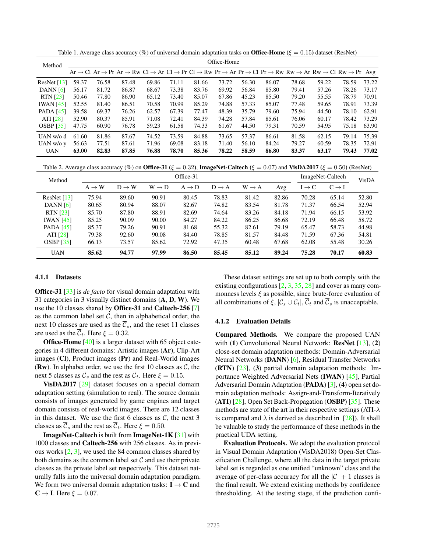Table 1. Average class accuracy (%) of universal domain adaptation tasks on **Office-Home** ( $\xi = 0.15$ ) dataset (ResNet)

| Method                 | Office-Home |       |       |       |       |       |       |       |       |                                                                                                                                                                   |       |       |       |
|------------------------|-------------|-------|-------|-------|-------|-------|-------|-------|-------|-------------------------------------------------------------------------------------------------------------------------------------------------------------------|-------|-------|-------|
|                        |             |       |       |       |       |       |       |       |       | $Ar \to Cl \; Ar \to Pr \; Ar \to Rw \; Cl \to Ar \; Cl \to Pr \; Cl \to Rw \; Pr \to Ar \; Pr \to Cl \; Pr \to RW \; Rw \to Ar \; Rw \to Cl \; Rw \to Pr \; Avg$ |       |       |       |
| ResNet $[13]$          | 59.37       | 76.58 | 87.48 | 69.86 | 71.11 | 81.66 | 73.72 | 56.30 | 86.07 | 78.68                                                                                                                                                             | 59.22 | 78.59 | 73.22 |
| DANN $[6]$             | 56.17       | 81.72 | 86.87 | 68.67 | 73.38 | 83.76 | 69.92 | 56.84 | 85.80 | 79.41                                                                                                                                                             | 57.26 | 78.26 | 73.17 |
| <b>RTN</b> [23]        | 50.46       | 77.80 | 86.90 | 65.12 | 73.40 | 85.07 | 67.86 | 45.23 | 85.50 | 79.20                                                                                                                                                             | 55.55 | 78.79 | 70.91 |
| <b>IWAN</b> [45]       | 52.55       | 81.40 | 86.51 | 70.58 | 70.99 | 85.29 | 74.88 | 57.33 | 85.07 | 77.48                                                                                                                                                             | 59.65 | 78.91 | 73.39 |
| <b>PADA</b> [45]       | 39.58       | 69.37 | 76.26 | 62.57 | 67.39 | 77.47 | 48.39 | 35.79 | 79.60 | 75.94                                                                                                                                                             | 44.50 | 78.10 | 62.91 |
| ATI [28]               | 52.90       | 80.37 | 85.91 | 71.08 | 72.41 | 84.39 | 74.28 | 57.84 | 85.61 | 76.06                                                                                                                                                             | 60.17 | 78.42 | 73.29 |
| OSBP $\left[35\right]$ | 47.75       | 60.90 | 76.78 | 59.23 | 61.58 | 74.33 | 61.67 | 44.50 | 79.31 | 70.59                                                                                                                                                             | 54.95 | 75.18 | 63.90 |
| UAN $w/\alpha$ d       | 61.60       | 81.86 | 87.67 | 74.52 | 73.59 | 84.88 | 73.65 | 57.37 | 86.61 | 81.58                                                                                                                                                             | 62.15 | 79.14 | 75.39 |
| UAN $w/o y$            | 56.63       | 77.51 | 87.61 | 71.96 | 69.08 | 83.18 | 71.40 | 56.10 | 84.24 | 79.27                                                                                                                                                             | 60.59 | 78.35 | 72.91 |
| <b>UAN</b>             | 63.00       | 82.83 | 87.85 | 76.88 | 78.70 | 85.36 | 78.22 | 58.59 | 86.80 | 83.37                                                                                                                                                             | 63.17 | 79.43 | 77.02 |

Table 2. Average class accuracy (%) on Office-31 ( $\xi = 0.32$ ), ImageNet-Caltech ( $\xi = 0.07$ ) and VisDA2017 ( $\xi = 0.50$ ) (ResNet)

| Method           | Office-31         |                   |                   |                   |                   |                   |       |                   | ImageNet-Caltech  |       |  |
|------------------|-------------------|-------------------|-------------------|-------------------|-------------------|-------------------|-------|-------------------|-------------------|-------|--|
|                  | $A \rightarrow W$ | $D \rightarrow W$ | $W \rightarrow D$ | $A \rightarrow D$ | $D \rightarrow A$ | $W \rightarrow A$ | Avg   | $I \rightarrow C$ | $C \rightarrow I$ | VisDA |  |
| ResNet $[13]$    | 75.94             | 89.60             | 90.91             | 80.45             | 78.83             | 81.42             | 82.86 | 70.28             | 65.14             | 52.80 |  |
| DANN $[6]$       | 80.65             | 80.94             | 88.07             | 82.67             | 74.82             | 83.54             | 81.78 | 71.37             | 66.54             | 52.94 |  |
| <b>RTN</b> [23]  | 85.70             | 87.80             | 88.91             | 82.69             | 74.64             | 83.26             | 84.18 | 71.94             | 66.15             | 53.92 |  |
| <b>IWAN</b> [45] | 85.25             | 90.09             | 90.00             | 84.27             | 84.22             | 86.25             | 86.68 | 72.19             | 66.48             | 58.72 |  |
| <b>PADA</b> [45] | 85.37             | 79.26             | 90.91             | 81.68             | 55.32             | 82.61             | 79.19 | 65.47             | 58.73             | 44.98 |  |
| ATI [28]         | 79.38             | 92.60             | 90.08             | 84.40             | 78.85             | 81.57             | 84.48 | 71.59             | 67.36             | 54.81 |  |
| <b>OSBP</b> [35] | 66.13             | 73.57             | 85.62             | 72.92             | 47.35             | 60.48             | 67.68 | 62.08             | 55.48             | 30.26 |  |
| <b>UAN</b>       | 85.62             | 94.77             | 97.99             | 86.50             | 85.45             | 85.12             | 89.24 | 75.28             | 70.17             | 60.83 |  |

### 4.1.1 Datasets

Office-31 [33] is *de facto* for visual domain adaptation with 31 categories in 3 visually distinct domains (A, D, W). We use the 10 classes shared by Office-31 and Caltech-256 [7] as the common label set  $C$ , then in alphabetical order, the next 10 classes are used as the  $\overline{\mathcal{C}}_s$ , and the reset 11 classes are used as the  $\overline{C}_t$ . Here  $\xi = 0.32$ .

**Office-Home** [40] is a larger dataset with 65 object categories in 4 different domains: Artistic images (Ar), Clip-Art images (Cl), Product images (Pr) and Real-World images (Rw). In alphabet order, we use the first 10 classes as  $C$ , the next 5 classes as  $\overline{\mathcal{C}}_s$  and the rest as  $\overline{\mathcal{C}}_t$ . Here  $\xi = 0.15$ .

VisDA2017 [29] dataset focuses on a special domain adaptation setting (simulation to real). The source domain consists of images generated by game engines and target domain consists of real-world images. There are 12 classes in this dataset. We use the first 6 classes as  $C$ , the next 3 classes as  $\overline{\mathcal{C}}_s$  and the rest as  $\overline{\mathcal{C}}_t$ . Here  $\xi = 0.50$ .

ImageNet-Caltech is built from ImageNet-1K [31] with 1000 classes and Caltech-256 with 256 classes. As in previous works  $[2, 3]$ , we used the 84 common classes shared by both domains as the common label set  $\mathcal C$  and use their private classes as the private label set respectively. This dataset naturally falls into the universal domain adaptation paradigm. We form two universal domain adaptation tasks:  $I \rightarrow C$  and  $C \rightarrow I$ . Here  $\xi = 0.07$ .

These dataset settings are set up to both comply with the existing configurations  $[2, 3, 35, 28]$  and cover as many commonness levels  $\xi$  as possible, since brute-force evaluation of all combinations of  $\xi, |\mathcal{C}_s \cup \mathcal{C}_t|, \overline{\mathcal{C}}_t$  and  $\overline{\mathcal{C}}_s$  is unacceptable.

#### 4.1.2 Evaluation Details

Compared Methods. We compare the proposed UAN with  $(1)$  Convolutional Neural Network: **ResNet**  $[13]$ ,  $(2)$ close-set domain adaptation methods: Domain-Adversarial Neural Networks (DANN) [6], Residual Transfer Networks (RTN) [23], (3) partial domain adaptation methods: Importance Weighted Adversarial Nets (IWAN) [45], Partial Adversarial Domain Adaptation (PADA) [3], (4) open set domain adaptation methods: Assign-and-Transform-Iteratively (ATI) [28], Open Set Back-Propagation (OSBP) [35]. These methods are state of the art in their respective settings (ATI- $\lambda$ ) is compared and  $\lambda$  is derived as described in [28]). It shall be valuable to study the performance of these methods in the practical UDA setting.

Evaluation Protocols. We adopt the evaluation protocol in Visual Domain Adaptation (VisDA2018) Open-Set Classification Challenge, where all the data in the target private label set is regarded as one unified "unknown" class and the average of per-class accuracy for all the  $|\mathcal{C}| + 1$  classes is the final result. We extend existing methods by confidence thresholding. At the testing stage, if the prediction confi-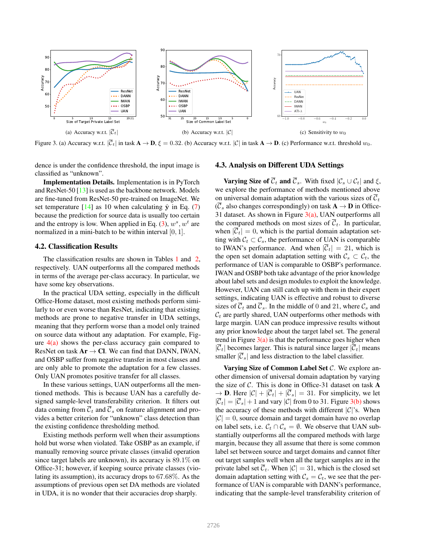

Figure 3. (a) Accuracy w.r.t.  $|\overline{C}_t|$  in task  $\overline{\mathbf{A}} \to \mathbf{D}$ ,  $\xi = 0.32$ . (b) Accuracy w.r.t.  $|\mathcal{C}|$  in task  $\mathbf{A} \to \mathbf{D}$ . (c) Performance w.r.t. threshold  $w_0$ .

dence is under the confidence threshold, the input image is classified as "unknown".

Implementation Details. Implementation is in PyTorch and ResNet-50 [13] is used as the backbone network. Models are fine-tuned from ResNet-50 pre-trained on ImageNet. We set temperature  $[14]$  as 10 when calculating  $\hat{y}$  in Eq. (7) because the prediction for source data is usually too certain and the entropy is low. When applied in Eq. (3),  $w^s$ ,  $w^t$  are normalized in a mini-batch to be within interval [0, 1].

#### 4.2. Classification Results

The classification results are shown in Tables 1 and 2, respectively. UAN outperforms all the compared methods in terms of the average per-class accuracy. In particular, we have some key observations.

In the practical UDA setting, especially in the difficult Office-Home dataset, most existing methods perform similarly to or even worse than ResNet, indicating that existing methods are prone to negative transfer in UDA settings, meaning that they perform worse than a model only trained on source data without any adaptation. For example, Figure  $4(a)$  shows the per-class accuracy gain compared to ResNet on task  $Ar \rightarrow Cl$ . We can find that DANN, IWAN, and OSBP suffer from negative transfer in most classes and are only able to promote the adaptation for a few classes. Only UAN promotes positive transfer for all classes.

In these various settings, UAN outperforms all the mentioned methods. This is because UAN has a carefully designed sample-level transferability criterion. It filters out data coming from  $\overline{C}_t$  and  $\overline{C}_s$  on feature alignment and provides a better criterion for "unknown" class detection than the existing confidence thresholding method.

Existing methods perform well when their assumptions hold but worse when violated. Take OSBP as an example, if manually removing source private classes (invalid operation since target labels are unknown), its accuracy is 89.1% on Office-31; however, if keeping source private classes (violating its assumption), its accuracy drops to 67.68%. As the assumptions of previous open set DA methods are violated in UDA, it is no wonder that their accuracies drop sharply.

### 4.3. Analysis on Different UDA Settings

**Varying Size of**  $\overline{\mathcal{C}}_t$  and  $\overline{\mathcal{C}}_s$ . With fixed  $|\mathcal{C}_s \cup \mathcal{C}_t|$  and  $\xi$ , we explore the performance of methods mentioned above on universal domain adaptation with the various sizes of  $\mathcal{C}_t$  $(\overline{\mathcal{C}}_s$  also changes correspondingly) on task  $\mathbf{A} \to \mathbf{D}$  in Office-31 dataset. As shown in Figure  $3(a)$ , UAN outperforms all the compared methods on most sizes of  $\overline{C}_t$ . In particular, when  $|\overline{C}_t| = 0$ , which is the partial domain adaptation setting with  $C_t \subset C_s$ , the performance of UAN is comparable to IWAN's performance. And when  $|\overline{C}_t| = 21$ , which is the open set domain adaptation setting with  $\mathcal{C}_s \subset \mathcal{C}_t$ , the performance of UAN is comparable to OSBP's performance. IWAN and OSBP both take advantage of the prior knowledge about label sets and design modules to exploit the knowledge. However, UAN can still catch up with them in their expert settings, indicating UAN is effective and robust to diverse sizes of  $\overline{C}_t$  and  $\overline{C}_s$ . In the middle of 0 and 21, where  $C_s$  and  $C_t$  are partly shared, UAN outperforms other methods with large margin. UAN can produce impressive results without any prior knowledge about the target label set. The general trend in Figure  $3(a)$  is that the performance goes higher when  $|\overline{C}_t|$  becomes larger. This is natural since larger  $|\overline{C}_t|$  means smaller  $|\overline{\mathcal{C}}_s|$  and less distraction to the label classifier.

Varying Size of Common Label Set  $C$ . We explore another dimension of universal domain adaptation by varying the size of  $\mathcal C$ . This is done in Office-31 dataset on task  $\mathbf A$  $\rightarrow$  **D**. Here  $|\mathcal{C}| + |\mathcal{C}_t| + |\mathcal{C}_s| = 31$ . For simplicity, we let  $|\mathcal{C}_t| = |\mathcal{C}_s| + 1$  and vary  $|\mathcal{C}|$  from 0 to 31. Figure 3(b) shows the accuracy of these methods with different  $|C|$ 's. When  $|\mathcal{C}| = 0$ , source domain and target domain have no overlap on label sets, i.e.  $\mathcal{C}_t \cap \mathcal{C}_s = \emptyset$ . We observe that UAN substantially outperforms all the compared methods with large margin, because they all assume that there is some common label set between source and target domains and cannot filter out target samples well when all the target samples are in the private label set  $\overline{C}_t$ . When  $|C| = 31$ , which is the closed set domain adaptation setting with  $\mathcal{C}_s = \mathcal{C}_t$ , we see that the performance of UAN is comparable with DANN's performance, indicating that the sample-level transferability criterion of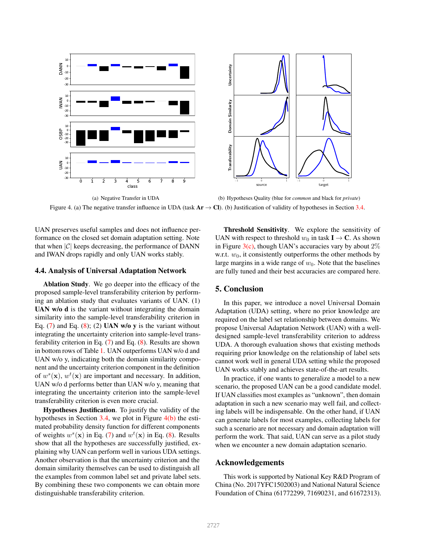

(a) Negative Transfer in UDA (b) Hypotheses Quality (blue for *common* and black for *private*) Figure 4. (a) The negative transfer influence in UDA (task  $Ar \rightarrow Cl$ ). (b) Justification of validity of hypotheses in Section 3.4.

UAN preserves useful samples and does not influence performance on the closed set domain adaptation setting. Note that when  $|\mathcal{C}|$  keeps decreasing, the performance of DANN and IWAN drops rapidly and only UAN works stably.

#### 4.4. Analysis of Universal Adaptation Network

Ablation Study. We go deeper into the efficacy of the proposed sample-level transferability criterion by performing an ablation study that evaluates variants of UAN. (1) UAN w/o d is the variant without integrating the domain similarity into the sample-level transferability criterion in Eq.  $(7)$  and Eq.  $(8)$ ;  $(2)$  UAN w/o y is the variant without integrating the uncertainty criterion into sample-level transferability criterion in Eq. (7) and Eq. (8). Results are shown in bottom rows of Table 1. UAN outperforms UAN w/o d and UAN w/o y, indicating both the domain similarity component and the uncertainty criterion component in the definition of  $w^s(\mathbf{x})$ ,  $w^t(\mathbf{x})$  are important and necessary. In addition, UAN w/o d performs better than UAN w/o y, meaning that integrating the uncertainty criterion into the sample-level transferability criterion is even more crucial.

Hypotheses Justification. To justify the validity of the hypotheses in Section 3.4, we plot in Figure 4(b) the estimated probability density function for different components of weights  $w^s(\mathbf{x})$  in Eq. (7) and  $w^t(\mathbf{x})$  in Eq. (8). Results show that all the hypotheses are successfully justified, explaining why UAN can perform well in various UDA settings. Another observation is that the uncertainty criterion and the domain similarity themselves can be used to distinguish all the examples from common label set and private label sets. By combining these two components we can obtain more distinguishable transferability criterion.

Threshold Sensitivity. We explore the sensitivity of UAN with respect to threshold  $w_0$  in task  $I \rightarrow C$ . As shown in Figure  $3(c)$ , though UAN's accuracies vary by about  $2\%$ w.r.t.  $w_0$ , it consistently outperforms the other methods by large margins in a wide range of  $w_0$ . Note that the baselines are fully tuned and their best accuracies are compared here.

# 5. Conclusion

In this paper, we introduce a novel Universal Domain Adaptation (UDA) setting, where no prior knowledge are required on the label set relationship between domains. We propose Universal Adaptation Network (UAN) with a welldesigned sample-level transferability criterion to address UDA. A thorough evaluation shows that existing methods requiring prior knowledge on the relationship of label sets cannot work well in general UDA setting while the proposed UAN works stably and achieves state-of-the-art results.

In practice, if one wants to generalize a model to a new scenario, the proposed UAN can be a good candidate model. If UAN classifies most examples as "unknown", then domain adaptation in such a new scenario may well fail, and collecting labels will be indispensable. On the other hand, if UAN can generate labels for most examples, collecting labels for such a scenario are not necessary and domain adaptation will perform the work. That said, UAN can serve as a pilot study when we encounter a new domain adaptation scenario.

## Acknowledgements

This work is supported by National Key R&D Program of China (No. 2017YFC1502003) and National Natural Science Foundation of China (61772299, 71690231, and 61672313).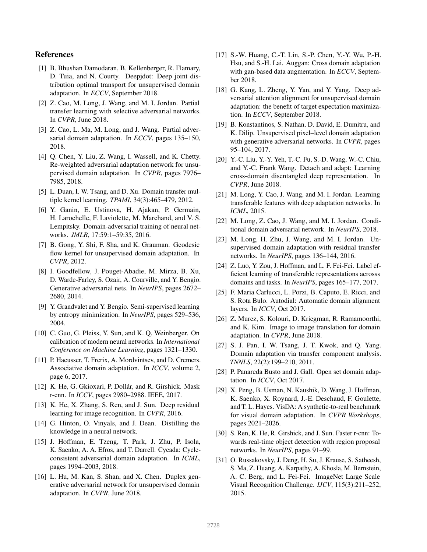# References

- [1] B. Bhushan Damodaran, B. Kellenberger, R. Flamary, D. Tuia, and N. Courty. Deepjdot: Deep joint distribution optimal transport for unsupervised domain adaptation. In *ECCV*, September 2018.
- [2] Z. Cao, M. Long, J. Wang, and M. I. Jordan. Partial transfer learning with selective adversarial networks. In *CVPR*, June 2018.
- [3] Z. Cao, L. Ma, M. Long, and J. Wang. Partial adversarial domain adaptation. In *ECCV*, pages 135–150, 2018.
- [4] Q. Chen, Y. Liu, Z. Wang, I. Wassell, and K. Chetty. Re-weighted adversarial adaptation network for unsupervised domain adaptation. In *CVPR*, pages 7976– 7985, 2018.
- [5] L. Duan, I. W. Tsang, and D. Xu. Domain transfer multiple kernel learning. *TPAMI*, 34(3):465–479, 2012.
- [6] Y. Ganin, E. Ustinova, H. Ajakan, P. Germain, H. Larochelle, F. Laviolette, M. Marchand, and V. S. Lempitsky. Domain-adversarial training of neural networks. *JMLR*, 17:59:1–59:35, 2016.
- [7] B. Gong, Y. Shi, F. Sha, and K. Grauman. Geodesic flow kernel for unsupervised domain adaptation. In *CVPR*, 2012.
- [8] I. Goodfellow, J. Pouget-Abadie, M. Mirza, B. Xu, D. Warde-Farley, S. Ozair, A. Courville, and Y. Bengio. Generative adversarial nets. In *NeurIPS*, pages 2672– 2680, 2014.
- [9] Y. Grandvalet and Y. Bengio. Semi-supervised learning by entropy minimization. In *NeurIPS*, pages 529–536, 2004.
- [10] C. Guo, G. Pleiss, Y. Sun, and K. Q. Weinberger. On calibration of modern neural networks. In *International Conference on Machine Learning*, pages 1321–1330.
- [11] P. Haeusser, T. Frerix, A. Mordvintsev, and D. Cremers. Associative domain adaptation. In *ICCV*, volume 2, page 6, 2017.
- [12] K. He, G. Gkioxari, P. Dollár, and R. Girshick. Mask r-cnn. In *ICCV*, pages 2980–2988. IEEE, 2017.
- [13] K. He, X. Zhang, S. Ren, and J. Sun. Deep residual learning for image recognition. In *CVPR*, 2016.
- [14] G. Hinton, O. Vinyals, and J. Dean. Distilling the knowledge in a neural network.
- [15] J. Hoffman, E. Tzeng, T. Park, J. Zhu, P. Isola, K. Saenko, A. A. Efros, and T. Darrell. Cycada: Cycleconsistent adversarial domain adaptation. In *ICML*, pages 1994–2003, 2018.
- [16] L. Hu, M. Kan, S. Shan, and X. Chen. Duplex generative adversarial network for unsupervised domain adaptation. In *CVPR*, June 2018.
- [17] S.-W. Huang, C.-T. Lin, S.-P. Chen, Y.-Y. Wu, P.-H. Hsu, and S.-H. Lai. Auggan: Cross domain adaptation with gan-based data augmentation. In *ECCV*, September 2018.
- [18] G. Kang, L. Zheng, Y. Yan, and Y. Yang. Deep adversarial attention alignment for unsupervised domain adaptation: the benefit of target expectation maximization. In *ECCV*, September 2018.
- [19] B. Konstantinos, S. Nathan, D. David, E. Dumitru, and K. Dilip. Unsupervised pixel–level domain adaptation with generative adversarial networks. In *CVPR*, pages 95–104, 2017.
- [20] Y.-C. Liu, Y.-Y. Yeh, T.-C. Fu, S.-D. Wang, W.-C. Chiu, and Y.-C. Frank Wang. Detach and adapt: Learning cross-domain disentangled deep representation. In *CVPR*, June 2018.
- [21] M. Long, Y. Cao, J. Wang, and M. I. Jordan. Learning transferable features with deep adaptation networks. In *ICML*, 2015.
- [22] M. Long, Z. Cao, J. Wang, and M. I. Jordan. Conditional domain adversarial network. In *NeurIPS*, 2018.
- [23] M. Long, H. Zhu, J. Wang, and M. I. Jordan. Unsupervised domain adaptation with residual transfer networks. In *NeurIPS*, pages 136–144, 2016.
- [24] Z. Luo, Y. Zou, J. Hoffman, and L. F. Fei-Fei. Label efficient learning of transferable representations acrosss domains and tasks. In *NeurIPS*, pages 165–177, 2017.
- [25] F. Maria Carlucci, L. Porzi, B. Caputo, E. Ricci, and S. Rota Bulo. Autodial: Automatic domain alignment layers. In *ICCV*, Oct 2017.
- [26] Z. Murez, S. Kolouri, D. Kriegman, R. Ramamoorthi, and K. Kim. Image to image translation for domain adaptation. In *CVPR*, June 2018.
- [27] S. J. Pan, I. W. Tsang, J. T. Kwok, and Q. Yang. Domain adaptation via transfer component analysis. *TNNLS*, 22(2):199–210, 2011.
- [28] P. Panareda Busto and J. Gall. Open set domain adaptation. In *ICCV*, Oct 2017.
- [29] X. Peng, B. Usman, N. Kaushik, D. Wang, J. Hoffman, K. Saenko, X. Roynard, J.-E. Deschaud, F. Goulette, and T. L. Hayes. VisDA: A synthetic-to-real benchmark for visual domain adaptation. In *CVPR Workshops*, pages 2021–2026.
- [30] S. Ren, K. He, R. Girshick, and J. Sun. Faster r-cnn: Towards real-time object detection with region proposal networks. In *NeurIPS*, pages 91–99.
- [31] O. Russakovsky, J. Deng, H. Su, J. Krause, S. Satheesh, S. Ma, Z. Huang, A. Karpathy, A. Khosla, M. Bernstein, A. C. Berg, and L. Fei-Fei. ImageNet Large Scale Visual Recognition Challenge. *IJCV*, 115(3):211–252, 2015.